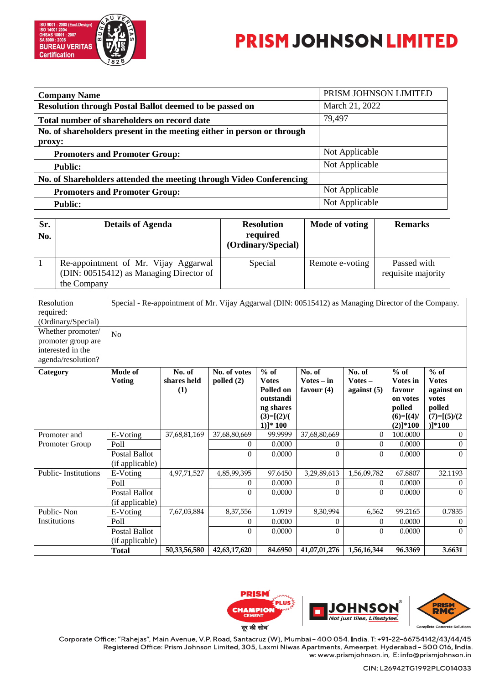

## **PRISM JOHNSON LIMITED**

| <b>Company Name</b>                                                    | PRISM JOHNSON LIMITED |
|------------------------------------------------------------------------|-----------------------|
| <b>Resolution through Postal Ballot deemed to be passed on</b>         | March 21, 2022        |
| Total number of shareholders on record date                            | 79,497                |
| No. of shareholders present in the meeting either in person or through |                       |
| proxy:                                                                 |                       |
| <b>Promoters and Promoter Group:</b>                                   | Not Applicable        |
| <b>Public:</b>                                                         | Not Applicable        |
| No. of Shareholders attended the meeting through Video Conferencing    |                       |
| <b>Promoters and Promoter Group:</b>                                   | Not Applicable        |
| <b>Public:</b>                                                         | Not Applicable        |

| Sr.<br>No. | <b>Details of Agenda</b>                                                                       | <b>Resolution</b><br>required<br>(Ordinary/Special) | Mode of voting  | <b>Remarks</b>                    |
|------------|------------------------------------------------------------------------------------------------|-----------------------------------------------------|-----------------|-----------------------------------|
|            | Re-appointment of Mr. Vijay Aggarwal<br>(DIN: 00515412) as Managing Director of<br>the Company | Special                                             | Remote e-voting | Passed with<br>requisite majority |

| Resolution<br>required:<br>(Ordinary/Special)<br>Whether promoter/<br>promoter group are<br>interested in the<br>agenda/resolution? | Special - Re-appointment of Mr. Vijay Aggarwal (DIN: 00515412) as Managing Director of the Company.<br>No |                              |                              |                                                                                            |                                        |                                      |                                                                                                   |                                                                                      |
|-------------------------------------------------------------------------------------------------------------------------------------|-----------------------------------------------------------------------------------------------------------|------------------------------|------------------------------|--------------------------------------------------------------------------------------------|----------------------------------------|--------------------------------------|---------------------------------------------------------------------------------------------------|--------------------------------------------------------------------------------------|
| Category                                                                                                                            | Mode of<br><b>Voting</b>                                                                                  | No. of<br>shares held<br>(1) | No. of votes<br>polled $(2)$ | $%$ of<br><b>Votes</b><br>Polled on<br>outstandi<br>ng shares<br>$(3)=[(2)/($<br>$1)]*100$ | No. of<br>$Votes - in$<br>favour $(4)$ | No. of<br>$Votes -$<br>against $(5)$ | $%$ of<br><b>Votes</b> in<br>favour<br>on votes<br>polled<br>$(6)=[(4)$<br>$(2)$ <sup>*</sup> 100 | $%$ of<br><b>Votes</b><br>against on<br>votes<br>polled<br>$(7)=[(5)/(2$<br>$)]*100$ |
| Promoter and                                                                                                                        | E-Voting                                                                                                  | 37,68,81,169                 | 37,68,80,669                 | 99.9999                                                                                    | 37,68,80,669                           | $\theta$                             | 100.0000                                                                                          | $\Omega$                                                                             |
| Promoter Group                                                                                                                      | Poll                                                                                                      |                              | $\Omega$                     | 0.0000                                                                                     | $\theta$                               | $\Omega$                             | 0.0000                                                                                            | $\Omega$                                                                             |
|                                                                                                                                     | Postal Ballot<br>(if applicable)                                                                          |                              | 0                            | 0.0000                                                                                     | $\mathbf{0}$                           | $\Omega$                             | 0.0000                                                                                            | $\Omega$                                                                             |
| <b>Public-Institutions</b>                                                                                                          | E-Voting                                                                                                  | 4,97,71,527                  | 4,85,99,395                  | 97.6450                                                                                    | 3,29,89,613                            | 1,56,09,782                          | 67.8807                                                                                           | 32.1193                                                                              |
|                                                                                                                                     | Poll                                                                                                      |                              | 0                            | 0.0000                                                                                     | $\theta$                               | 0                                    | 0.0000                                                                                            | $\theta$                                                                             |
|                                                                                                                                     | Postal Ballot<br>(if applicable)                                                                          |                              | $\theta$                     | 0.0000                                                                                     | $\Omega$                               | $\Omega$                             | 0.0000                                                                                            | $\Omega$                                                                             |
| Public-Non                                                                                                                          | E-Voting                                                                                                  | 7,67,03,884                  | 8,37,556                     | 1.0919                                                                                     | 8,30,994                               | 6,562                                | 99.2165                                                                                           | 0.7835                                                                               |
| Institutions                                                                                                                        | Poll                                                                                                      |                              | $\Omega$                     | 0.0000                                                                                     | $\theta$                               | 0                                    | 0.0000                                                                                            | $\Omega$                                                                             |
|                                                                                                                                     | <b>Postal Ballot</b><br>(if applicable)                                                                   |                              | $\theta$                     | 0.0000                                                                                     | $\Omega$                               | $\Omega$                             | 0.0000                                                                                            | $\Omega$                                                                             |
|                                                                                                                                     | Total                                                                                                     | 50,33,56,580                 | 42,63,17,620                 | 84.6950                                                                                    | 41,07,01,276                           | 1,56,16,344                          | 96.3369                                                                                           | 3.6631                                                                               |



**CHAMPION** दूर की सोच

Corporate Office: "Rahejas", Main Avenue, V.P. Road, Santacruz (W), Mumbai - 400 054. India. T: +91-22-66754142/43/44/45 Registered Office: Prism Johnson Limited, 305, Laxmi Niwas Apartments, Ameerpet. Hyderabad - 500 016, India. w: www.prismjohnson.in, E: info@prismjohnson.in